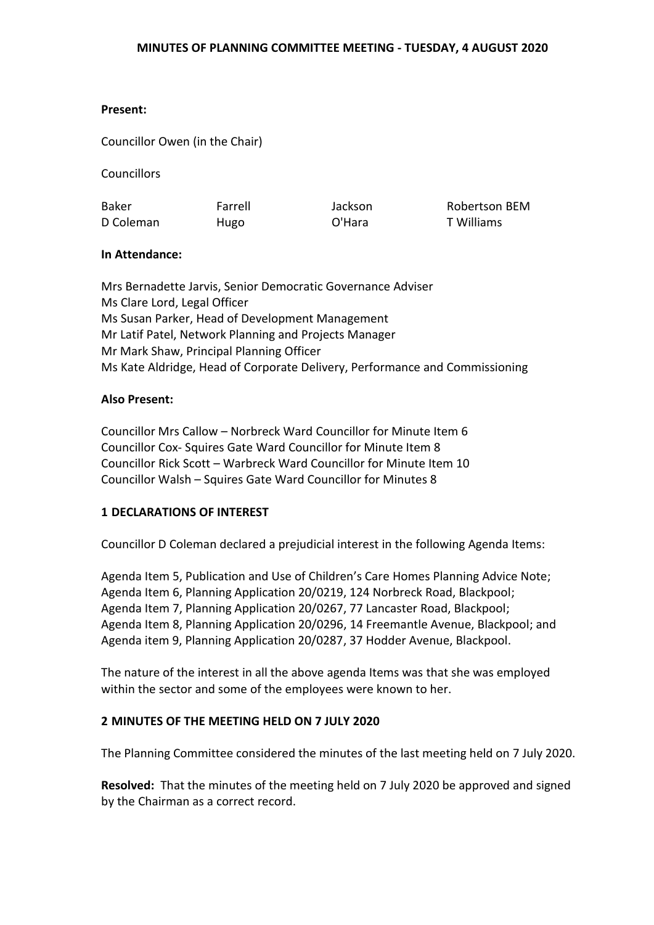### **Present:**

Councillor Owen (in the Chair)

**Councillors** 

Baker D Coleman Farrell Hugo

Jackson O'Hara

Robertson BEM T Williams

# **In Attendance:**

Mrs Bernadette Jarvis, Senior Democratic Governance Adviser Ms Clare Lord, Legal Officer Ms Susan Parker, Head of Development Management Mr Latif Patel, Network Planning and Projects Manager Mr Mark Shaw, Principal Planning Officer Ms Kate Aldridge, Head of Corporate Delivery, Performance and Commissioning

# **Also Present:**

Councillor Mrs Callow – Norbreck Ward Councillor for Minute Item 6 Councillor Cox- Squires Gate Ward Councillor for Minute Item 8 Councillor Rick Scott – Warbreck Ward Councillor for Minute Item 10 Councillor Walsh – Squires Gate Ward Councillor for Minutes 8

# **1 DECLARATIONS OF INTEREST**

Councillor D Coleman declared a prejudicial interest in the following Agenda Items:

Agenda Item 5, Publication and Use of Children's Care Homes Planning Advice Note; Agenda Item 6, Planning Application 20/0219, 124 Norbreck Road, Blackpool; Agenda Item 7, Planning Application 20/0267, 77 Lancaster Road, Blackpool; Agenda Item 8, Planning Application 20/0296, 14 Freemantle Avenue, Blackpool; and Agenda item 9, Planning Application 20/0287, 37 Hodder Avenue, Blackpool.

The nature of the interest in all the above agenda Items was that she was employed within the sector and some of the employees were known to her.

# **2 MINUTES OF THE MEETING HELD ON 7 JULY 2020**

The Planning Committee considered the minutes of the last meeting held on 7 July 2020.

**Resolved:** That the minutes of the meeting held on 7 July 2020 be approved and signed by the Chairman as a correct record.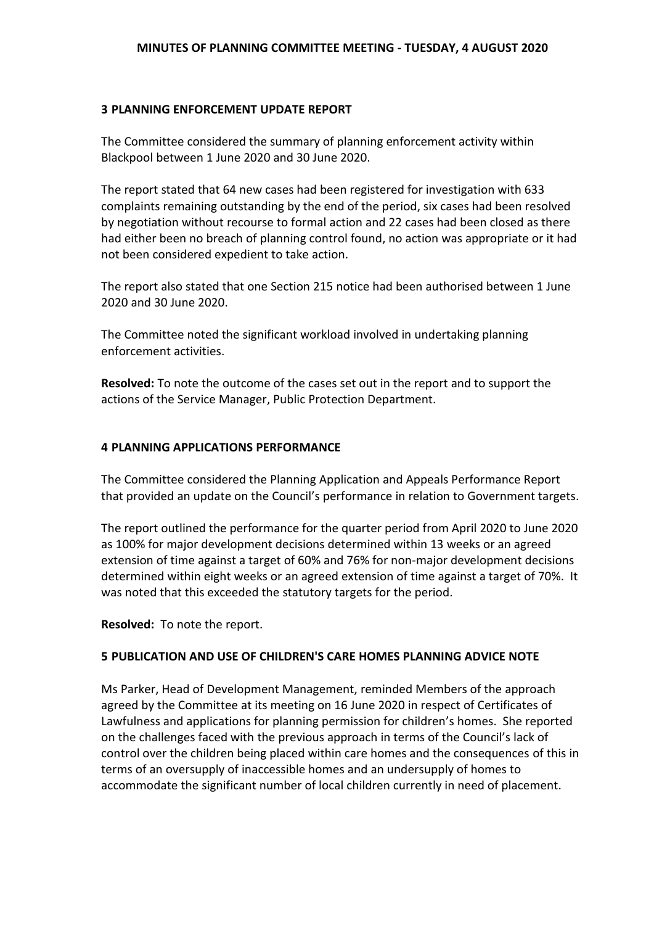## **3 PLANNING ENFORCEMENT UPDATE REPORT**

The Committee considered the summary of planning enforcement activity within Blackpool between 1 June 2020 and 30 June 2020.

The report stated that 64 new cases had been registered for investigation with 633 complaints remaining outstanding by the end of the period, six cases had been resolved by negotiation without recourse to formal action and 22 cases had been closed as there had either been no breach of planning control found, no action was appropriate or it had not been considered expedient to take action.

The report also stated that one Section 215 notice had been authorised between 1 June 2020 and 30 June 2020.

The Committee noted the significant workload involved in undertaking planning enforcement activities.

**Resolved:** To note the outcome of the cases set out in the report and to support the actions of the Service Manager, Public Protection Department.

# **4 PLANNING APPLICATIONS PERFORMANCE**

The Committee considered the Planning Application and Appeals Performance Report that provided an update on the Council's performance in relation to Government targets.

The report outlined the performance for the quarter period from April 2020 to June 2020 as 100% for major development decisions determined within 13 weeks or an agreed extension of time against a target of 60% and 76% for non-major development decisions determined within eight weeks or an agreed extension of time against a target of 70%. It was noted that this exceeded the statutory targets for the period.

**Resolved:** To note the report.

## **5 PUBLICATION AND USE OF CHILDREN'S CARE HOMES PLANNING ADVICE NOTE**

Ms Parker, Head of Development Management, reminded Members of the approach agreed by the Committee at its meeting on 16 June 2020 in respect of Certificates of Lawfulness and applications for planning permission for children's homes. She reported on the challenges faced with the previous approach in terms of the Council's lack of control over the children being placed within care homes and the consequences of this in terms of an oversupply of inaccessible homes and an undersupply of homes to accommodate the significant number of local children currently in need of placement.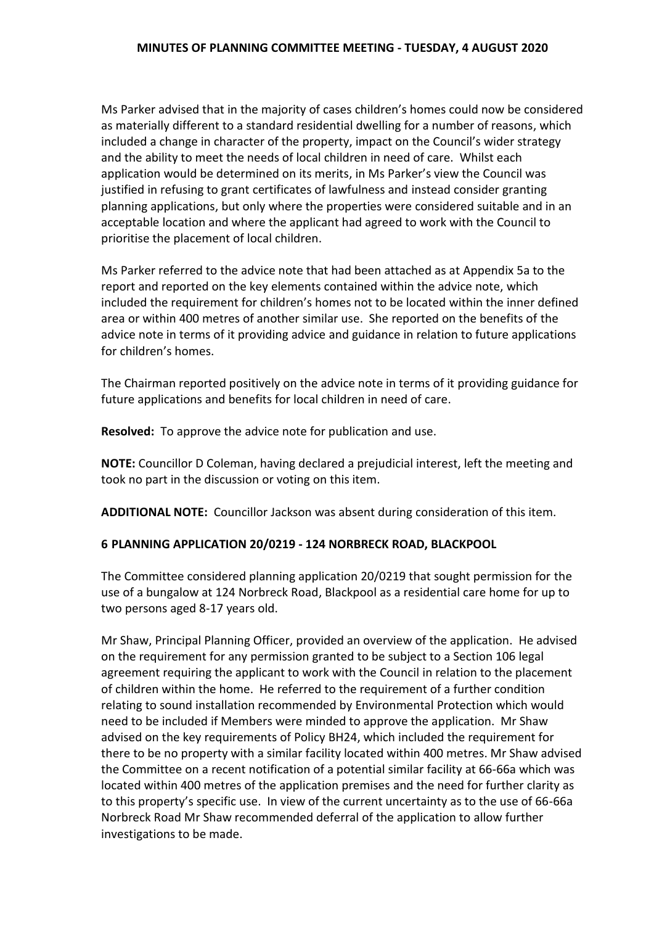Ms Parker advised that in the majority of cases children's homes could now be considered as materially different to a standard residential dwelling for a number of reasons, which included a change in character of the property, impact on the Council's wider strategy and the ability to meet the needs of local children in need of care. Whilst each application would be determined on its merits, in Ms Parker's view the Council was justified in refusing to grant certificates of lawfulness and instead consider granting planning applications, but only where the properties were considered suitable and in an acceptable location and where the applicant had agreed to work with the Council to prioritise the placement of local children.

Ms Parker referred to the advice note that had been attached as at Appendix 5a to the report and reported on the key elements contained within the advice note, which included the requirement for children's homes not to be located within the inner defined area or within 400 metres of another similar use. She reported on the benefits of the advice note in terms of it providing advice and guidance in relation to future applications for children's homes.

The Chairman reported positively on the advice note in terms of it providing guidance for future applications and benefits for local children in need of care.

**Resolved:** To approve the advice note for publication and use.

**NOTE:** Councillor D Coleman, having declared a prejudicial interest, left the meeting and took no part in the discussion or voting on this item.

**ADDITIONAL NOTE:** Councillor Jackson was absent during consideration of this item.

## **6 PLANNING APPLICATION 20/0219 - 124 NORBRECK ROAD, BLACKPOOL**

The Committee considered planning application 20/0219 that sought permission for the use of a bungalow at 124 Norbreck Road, Blackpool as a residential care home for up to two persons aged 8-17 years old.

Mr Shaw, Principal Planning Officer, provided an overview of the application. He advised on the requirement for any permission granted to be subject to a Section 106 legal agreement requiring the applicant to work with the Council in relation to the placement of children within the home. He referred to the requirement of a further condition relating to sound installation recommended by Environmental Protection which would need to be included if Members were minded to approve the application. Mr Shaw advised on the key requirements of Policy BH24, which included the requirement for there to be no property with a similar facility located within 400 metres. Mr Shaw advised the Committee on a recent notification of a potential similar facility at 66-66a which was located within 400 metres of the application premises and the need for further clarity as to this property's specific use. In view of the current uncertainty as to the use of 66-66a Norbreck Road Mr Shaw recommended deferral of the application to allow further investigations to be made.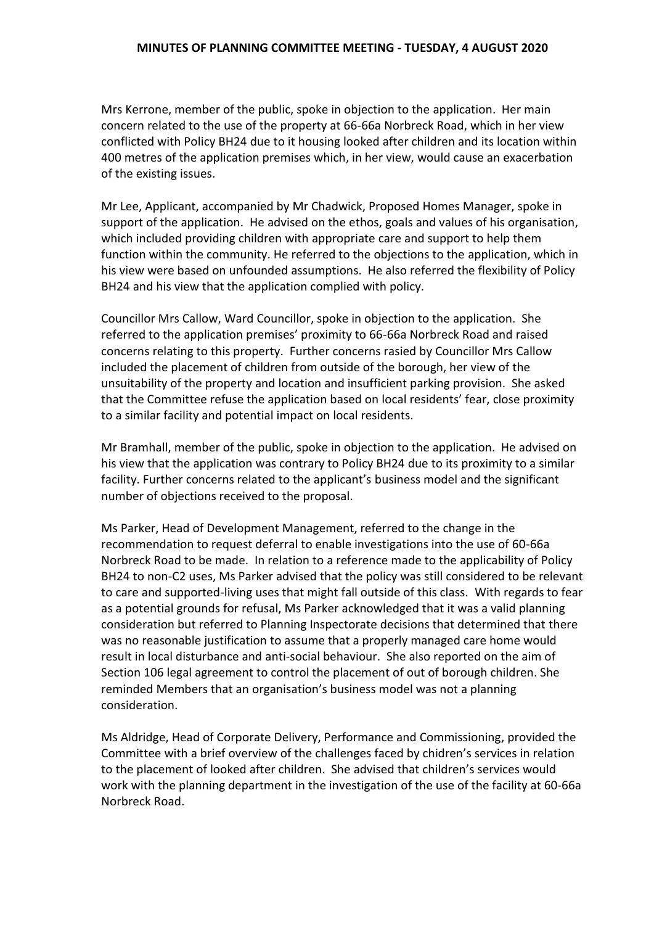Mrs Kerrone, member of the public, spoke in objection to the application. Her main concern related to the use of the property at 66-66a Norbreck Road, which in her view conflicted with Policy BH24 due to it housing looked after children and its location within 400 metres of the application premises which, in her view, would cause an exacerbation of the existing issues.

Mr Lee, Applicant, accompanied by Mr Chadwick, Proposed Homes Manager, spoke in support of the application. He advised on the ethos, goals and values of his organisation, which included providing children with appropriate care and support to help them function within the community. He referred to the objections to the application, which in his view were based on unfounded assumptions. He also referred the flexibility of Policy BH24 and his view that the application complied with policy.

Councillor Mrs Callow, Ward Councillor, spoke in objection to the application. She referred to the application premises' proximity to 66-66a Norbreck Road and raised concerns relating to this property. Further concerns rasied by Councillor Mrs Callow included the placement of children from outside of the borough, her view of the unsuitability of the property and location and insufficient parking provision. She asked that the Committee refuse the application based on local residents' fear, close proximity to a similar facility and potential impact on local residents.

Mr Bramhall, member of the public, spoke in objection to the application. He advised on his view that the application was contrary to Policy BH24 due to its proximity to a similar facility. Further concerns related to the applicant's business model and the significant number of objections received to the proposal.

Ms Parker, Head of Development Management, referred to the change in the recommendation to request deferral to enable investigations into the use of 60-66a Norbreck Road to be made. In relation to a reference made to the applicability of Policy BH24 to non-C2 uses, Ms Parker advised that the policy was still considered to be relevant to care and supported-living uses that might fall outside of this class. With regards to fear as a potential grounds for refusal, Ms Parker acknowledged that it was a valid planning consideration but referred to Planning Inspectorate decisions that determined that there was no reasonable justification to assume that a properly managed care home would result in local disturbance and anti-social behaviour. She also reported on the aim of Section 106 legal agreement to control the placement of out of borough children. She reminded Members that an organisation's business model was not a planning consideration.

Ms Aldridge, Head of Corporate Delivery, Performance and Commissioning, provided the Committee with a brief overview of the challenges faced by chidren's services in relation to the placement of looked after children. She advised that children's services would work with the planning department in the investigation of the use of the facility at 60-66a Norbreck Road.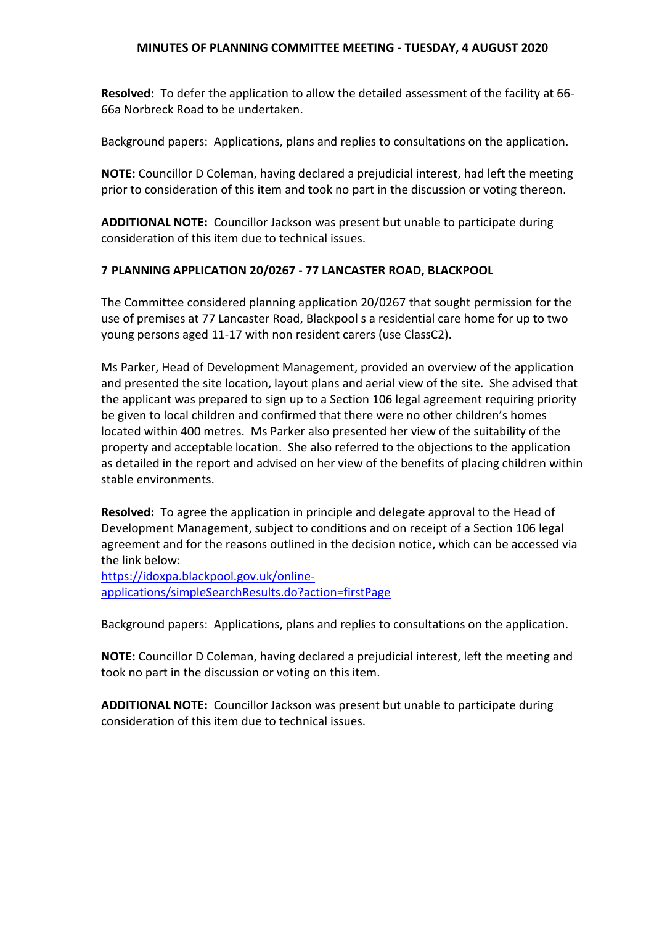**Resolved:** To defer the application to allow the detailed assessment of the facility at 66- 66a Norbreck Road to be undertaken.

Background papers: Applications, plans and replies to consultations on the application.

**NOTE:** Councillor D Coleman, having declared a prejudicial interest, had left the meeting prior to consideration of this item and took no part in the discussion or voting thereon.

**ADDITIONAL NOTE:** Councillor Jackson was present but unable to participate during consideration of this item due to technical issues.

#### **7 PLANNING APPLICATION 20/0267 - 77 LANCASTER ROAD, BLACKPOOL**

The Committee considered planning application 20/0267 that sought permission for the use of premises at 77 Lancaster Road, Blackpool s a residential care home for up to two young persons aged 11-17 with non resident carers (use ClassC2).

Ms Parker, Head of Development Management, provided an overview of the application and presented the site location, layout plans and aerial view of the site. She advised that the applicant was prepared to sign up to a Section 106 legal agreement requiring priority be given to local children and confirmed that there were no other children's homes located within 400 metres. Ms Parker also presented her view of the suitability of the property and acceptable location. She also referred to the objections to the application as detailed in the report and advised on her view of the benefits of placing children within stable environments.

**Resolved:** To agree the application in principle and delegate approval to the Head of Development Management, subject to conditions and on receipt of a Section 106 legal agreement and for the reasons outlined in the decision notice, which can be accessed via the link below:

[https://idoxpa.blackpool.gov.uk/online](https://idoxpa.blackpool.gov.uk/online-applications/simpleSearchResults.do?action=firstPage)[applications/simpleSearchResults.do?action=firstPage](https://idoxpa.blackpool.gov.uk/online-applications/simpleSearchResults.do?action=firstPage)

Background papers: Applications, plans and replies to consultations on the application.

**NOTE:** Councillor D Coleman, having declared a prejudicial interest, left the meeting and took no part in the discussion or voting on this item.

**ADDITIONAL NOTE:** Councillor Jackson was present but unable to participate during consideration of this item due to technical issues.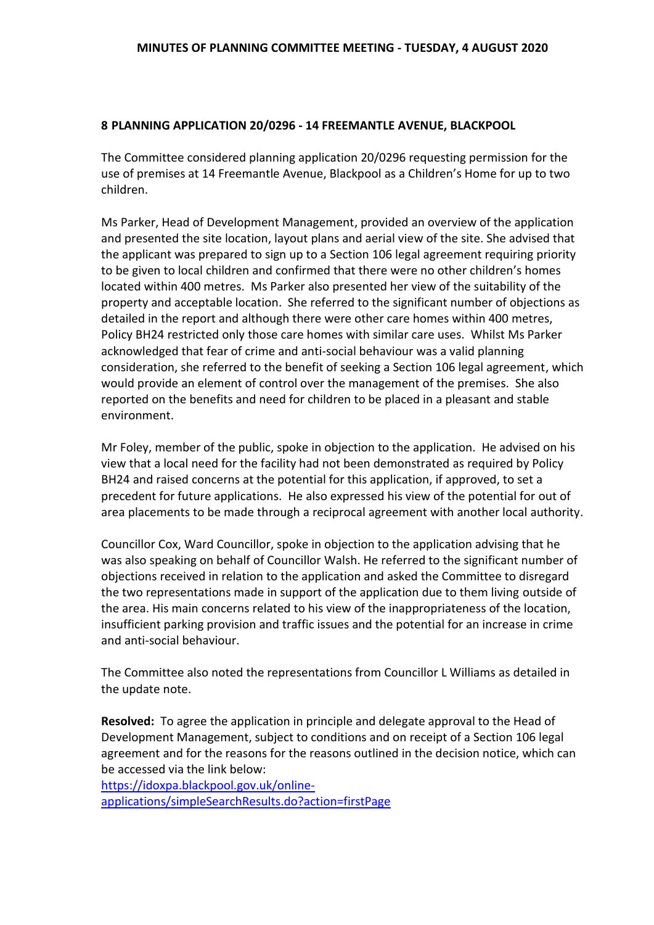#### **8 PLANNING APPLICATION 20/0296 - 14 FREEMANTLE AVENUE, BLACKPOOL**

The Committee considered planning application 20/0296 requesting permission for the use of premises at 14 Freemantle Avenue, Blackpool as a Children's Home for up to two children.

Ms Parker, Head of Development Management, provided an overview of the application and presented the site location, layout plans and aerial view of the site. She advised that the applicant was prepared to sign up to a Section 106 legal agreement requiring priority to be given to local children and confirmed that there were no other children's homes located within 400 metres. Ms Parker also presented her view of the suitability of the property and acceptable location. She referred to the significant number of objections as detailed in the report and although there were other care homes within 400 metres, Policy BH24 restricted only those care homes with similar care uses. Whilst Ms Parker acknowledged that fear of crime and anti-social behaviour was a valid planning consideration, she referred to the benefit of seeking a Section 106 legal agreement, which would provide an element of control over the management of the premises. She also reported on the benefits and need for children to be placed in a pleasant and stable environment.

Mr Foley, member of the public, spoke in objection to the application. He advised on his view that a local need for the facility had not been demonstrated as required by Policy BH24 and raised concerns at the potential for this application, if approved, to set a precedent for future applications. He also expressed his view of the potential for out of area placements to be made through a reciprocal agreement with another local authority.

Councillor Cox, Ward Councillor, spoke in objection to the application advising that he was also speaking on behalf of Councillor Walsh. He referred to the significant number of objections received in relation to the application and asked the Committee to disregard the two representations made in support of the application due to them living outside of the area. His main concerns related to his view of the inappropriateness of the location, insufficient parking provision and traffic issues and the potential for an increase in crime and anti-social behaviour.

The Committee also noted the representations from Councillor L Williams as detailed in the update note.

**Resolved:** To agree the application in principle and delegate approval to the Head of Development Management, subject to conditions and on receipt of a Section 106 legal agreement and for the reasons for the reasons outlined in the decision notice, which can be accessed via the link below:

[https://idoxpa.blackpool.gov.uk/online](https://idoxpa.blackpool.gov.uk/online-applications/simpleSearchResults.do?action=firstPage)[applications/simpleSearchResults.do?action=firstPage](https://idoxpa.blackpool.gov.uk/online-applications/simpleSearchResults.do?action=firstPage)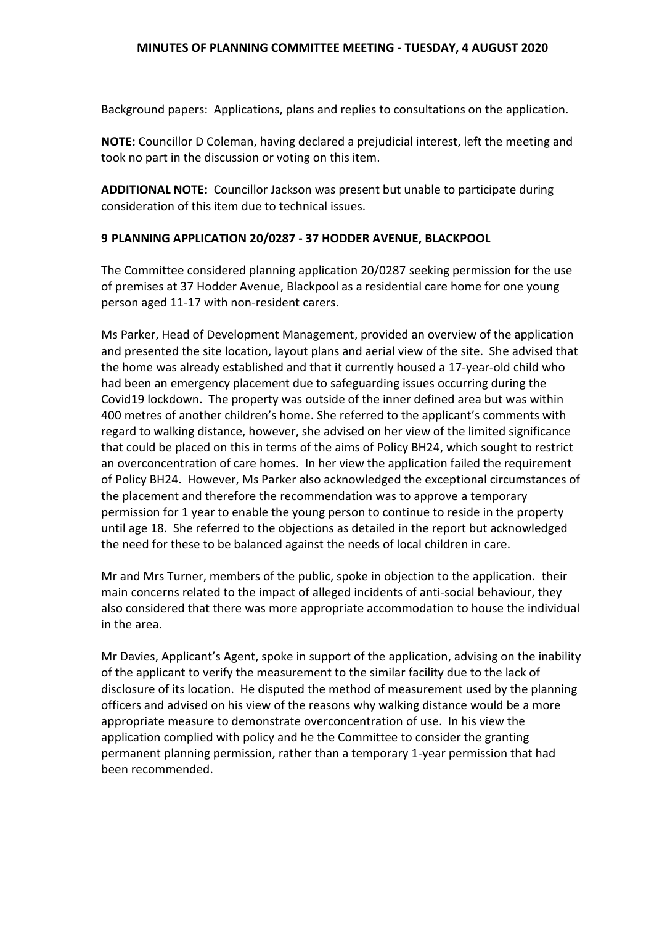Background papers: Applications, plans and replies to consultations on the application.

**NOTE:** Councillor D Coleman, having declared a prejudicial interest, left the meeting and took no part in the discussion or voting on this item.

**ADDITIONAL NOTE:** Councillor Jackson was present but unable to participate during consideration of this item due to technical issues.

#### **9 PLANNING APPLICATION 20/0287 - 37 HODDER AVENUE, BLACKPOOL**

The Committee considered planning application 20/0287 seeking permission for the use of premises at 37 Hodder Avenue, Blackpool as a residential care home for one young person aged 11-17 with non-resident carers.

Ms Parker, Head of Development Management, provided an overview of the application and presented the site location, layout plans and aerial view of the site. She advised that the home was already established and that it currently housed a 17-year-old child who had been an emergency placement due to safeguarding issues occurring during the Covid19 lockdown. The property was outside of the inner defined area but was within 400 metres of another children's home. She referred to the applicant's comments with regard to walking distance, however, she advised on her view of the limited significance that could be placed on this in terms of the aims of Policy BH24, which sought to restrict an overconcentration of care homes. In her view the application failed the requirement of Policy BH24. However, Ms Parker also acknowledged the exceptional circumstances of the placement and therefore the recommendation was to approve a temporary permission for 1 year to enable the young person to continue to reside in the property until age 18. She referred to the objections as detailed in the report but acknowledged the need for these to be balanced against the needs of local children in care.

Mr and Mrs Turner, members of the public, spoke in objection to the application. their main concerns related to the impact of alleged incidents of anti-social behaviour, they also considered that there was more appropriate accommodation to house the individual in the area.

Mr Davies, Applicant's Agent, spoke in support of the application, advising on the inability of the applicant to verify the measurement to the similar facility due to the lack of disclosure of its location. He disputed the method of measurement used by the planning officers and advised on his view of the reasons why walking distance would be a more appropriate measure to demonstrate overconcentration of use. In his view the application complied with policy and he the Committee to consider the granting permanent planning permission, rather than a temporary 1-year permission that had been recommended.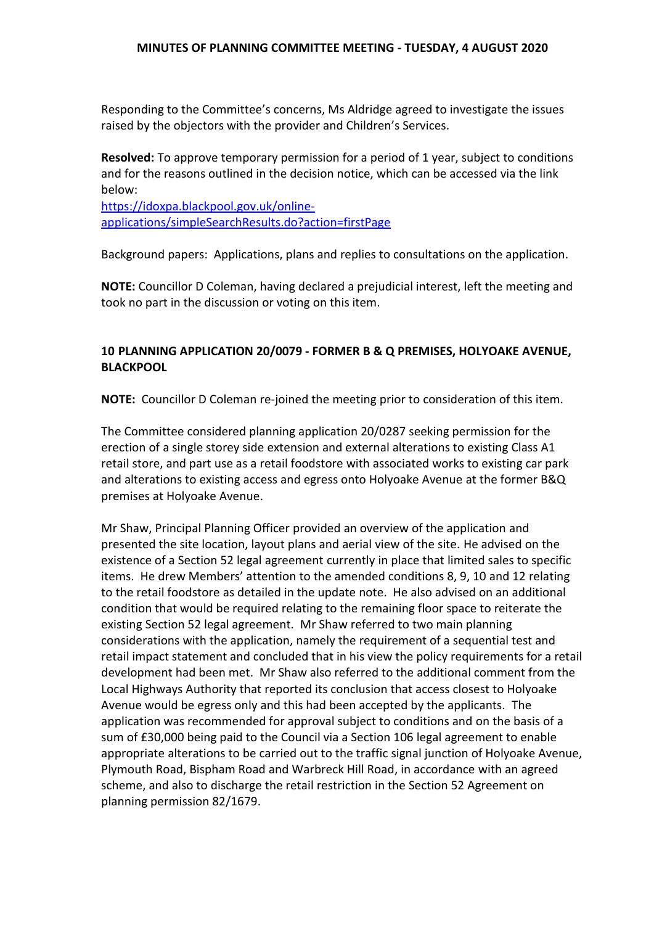Responding to the Committee's concerns, Ms Aldridge agreed to investigate the issues raised by the objectors with the provider and Children's Services.

**Resolved:** To approve temporary permission for a period of 1 year, subject to conditions and for the reasons outlined in the decision notice, which can be accessed via the link below:

[https://idoxpa.blackpool.gov.uk/online](https://idoxpa.blackpool.gov.uk/online-applications/simpleSearchResults.do?action=firstPage)[applications/simpleSearchResults.do?action=firstPage](https://idoxpa.blackpool.gov.uk/online-applications/simpleSearchResults.do?action=firstPage)

Background papers: Applications, plans and replies to consultations on the application.

**NOTE:** Councillor D Coleman, having declared a prejudicial interest, left the meeting and took no part in the discussion or voting on this item.

# **10 PLANNING APPLICATION 20/0079 - FORMER B & Q PREMISES, HOLYOAKE AVENUE, BLACKPOOL**

**NOTE:** Councillor D Coleman re-joined the meeting prior to consideration of this item.

The Committee considered planning application 20/0287 seeking permission for the erection of a single storey side extension and external alterations to existing Class A1 retail store, and part use as a retail foodstore with associated works to existing car park and alterations to existing access and egress onto Holyoake Avenue at the former B&Q premises at Holyoake Avenue.

Mr Shaw, Principal Planning Officer provided an overview of the application and presented the site location, layout plans and aerial view of the site. He advised on the existence of a Section 52 legal agreement currently in place that limited sales to specific items. He drew Members' attention to the amended conditions 8, 9, 10 and 12 relating to the retail foodstore as detailed in the update note. He also advised on an additional condition that would be required relating to the remaining floor space to reiterate the existing Section 52 legal agreement. Mr Shaw referred to two main planning considerations with the application, namely the requirement of a sequential test and retail impact statement and concluded that in his view the policy requirements for a retail development had been met. Mr Shaw also referred to the additional comment from the Local Highways Authority that reported its conclusion that access closest to Holyoake Avenue would be egress only and this had been accepted by the applicants. The application was recommended for approval subject to conditions and on the basis of a sum of £30,000 being paid to the Council via a Section 106 legal agreement to enable appropriate alterations to be carried out to the traffic signal junction of Holyoake Avenue, Plymouth Road, Bispham Road and Warbreck Hill Road, in accordance with an agreed scheme, and also to discharge the retail restriction in the Section 52 Agreement on planning permission 82/1679.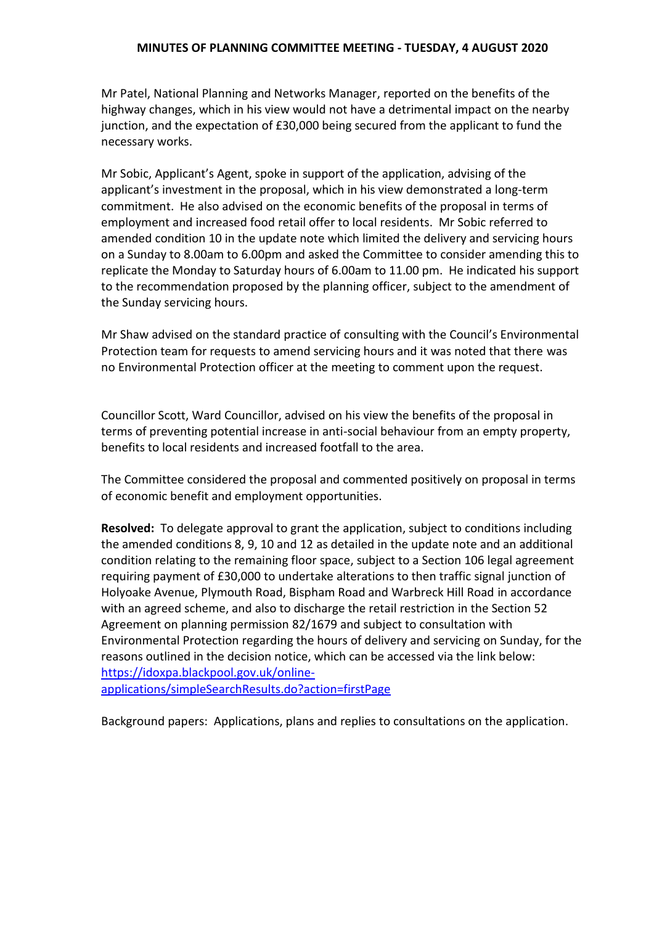Mr Patel, National Planning and Networks Manager, reported on the benefits of the highway changes, which in his view would not have a detrimental impact on the nearby junction, and the expectation of £30,000 being secured from the applicant to fund the necessary works.

Mr Sobic, Applicant's Agent, spoke in support of the application, advising of the applicant's investment in the proposal, which in his view demonstrated a long-term commitment. He also advised on the economic benefits of the proposal in terms of employment and increased food retail offer to local residents. Mr Sobic referred to amended condition 10 in the update note which limited the delivery and servicing hours on a Sunday to 8.00am to 6.00pm and asked the Committee to consider amending this to replicate the Monday to Saturday hours of 6.00am to 11.00 pm. He indicated his support to the recommendation proposed by the planning officer, subject to the amendment of the Sunday servicing hours.

Mr Shaw advised on the standard practice of consulting with the Council's Environmental Protection team for requests to amend servicing hours and it was noted that there was no Environmental Protection officer at the meeting to comment upon the request.

Councillor Scott, Ward Councillor, advised on his view the benefits of the proposal in terms of preventing potential increase in anti-social behaviour from an empty property, benefits to local residents and increased footfall to the area.

The Committee considered the proposal and commented positively on proposal in terms of economic benefit and employment opportunities.

**Resolved:** To delegate approval to grant the application, subject to conditions including the amended conditions 8, 9, 10 and 12 as detailed in the update note and an additional condition relating to the remaining floor space, subject to a Section 106 legal agreement requiring payment of £30,000 to undertake alterations to then traffic signal junction of Holyoake Avenue, Plymouth Road, Bispham Road and Warbreck Hill Road in accordance with an agreed scheme, and also to discharge the retail restriction in the Section 52 Agreement on planning permission 82/1679 and subject to consultation with Environmental Protection regarding the hours of delivery and servicing on Sunday, for the reasons outlined in the decision notice, which can be accessed via the link below: [https://idoxpa.blackpool.gov.uk/online-](https://idoxpa.blackpool.gov.uk/online-applications/simpleSearchResults.do?action=firstPage)

[applications/simpleSearchResults.do?action=firstPage](https://idoxpa.blackpool.gov.uk/online-applications/simpleSearchResults.do?action=firstPage)

Background papers: Applications, plans and replies to consultations on the application.